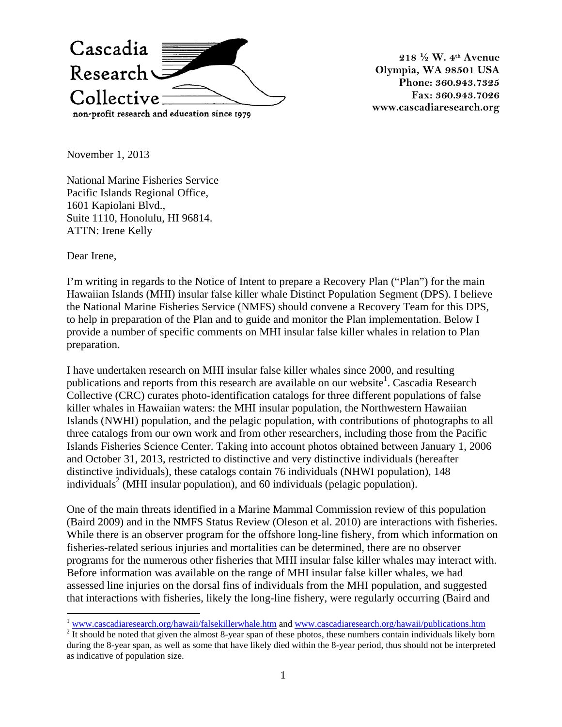

**218 ½ W. 4th Avenue Olympia, WA 98501 USA Phone: 360.943.7325 Fax: 360.943.7026 www.cascadiaresearch.org**

November 1, 2013

National Marine Fisheries Service Pacific Islands Regional Office, 1601 Kapiolani Blvd., Suite 1110, Honolulu, HI 96814. ATTN: Irene Kelly

Dear Irene,

I'm writing in regards to the Notice of Intent to prepare a Recovery Plan ("Plan") for the main Hawaiian Islands (MHI) insular false killer whale Distinct Population Segment (DPS). I believe the National Marine Fisheries Service (NMFS) should convene a Recovery Team for this DPS, to help in preparation of the Plan and to guide and monitor the Plan implementation. Below I provide a number of specific comments on MHI insular false killer whales in relation to Plan preparation.

I have undertaken research on MHI insular false killer whales since 2000, and resulting publications and reports from this research are available on our website<sup>1</sup>. Cascadia Research Collective (CRC) curates photo-identification catalogs for three different populations of false killer whales in Hawaiian waters: the MHI insular population, the Northwestern Hawaiian Islands (NWHI) population, and the pelagic population, with contributions of photographs to all three catalogs from our own work and from other researchers, including those from the Pacific Islands Fisheries Science Center. Taking into account photos obtained between January 1, 2006 and October 31, 2013, restricted to distinctive and very distinctive individuals (hereafter distinctive individuals), these catalogs contain 76 individuals (NHWI population), 148 individuals<sup>2</sup> (MHI insular population), and 60 individuals (pelagic population).

One of the main threats identified in a Marine Mammal Commission review of this population (Baird 2009) and in the NMFS Status Review (Oleson et al. 2010) are interactions with fisheries. While there is an observer program for the offshore long-line fishery, from which information on fisheries-related serious injuries and mortalities can be determined, there are no observer programs for the numerous other fisheries that MHI insular false killer whales may interact with. Before information was available on the range of MHI insular false killer whales, we had assessed line injuries on the dorsal fins of individuals from the MHI population, and suggested that interactions with fisheries, likely the long-line fishery, were regularly occurring (Baird and

 $\frac{1}{2}$  www.cascadiaresearch.org/hawaii/falsekillerwhale.htm and www.cascadiaresearch.org/hawaii/publications.htm  $\frac{1}{2}$  It should be noted that given the almost 8-year span of these photos, these numbers contain ind

during the 8-year span, as well as some that have likely died within the 8-year period, thus should not be interpreted as indicative of population size.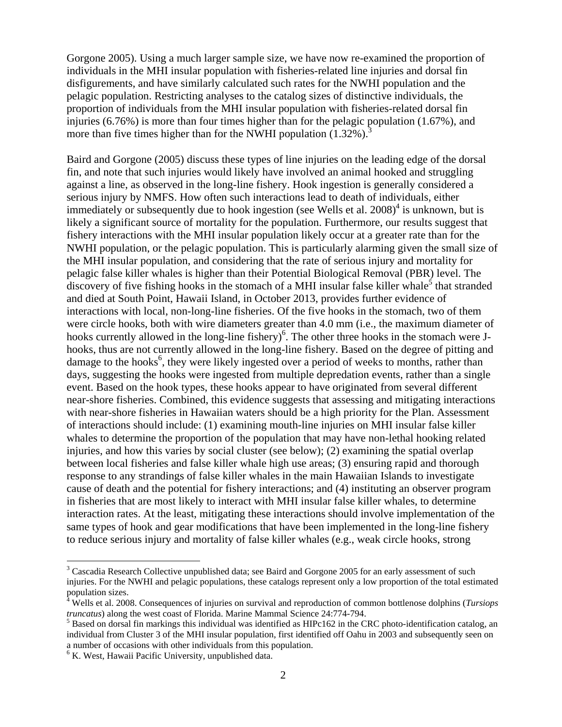Gorgone 2005). Using a much larger sample size, we have now re-examined the proportion of individuals in the MHI insular population with fisheries-related line injuries and dorsal fin disfigurements, and have similarly calculated such rates for the NWHI population and the pelagic population. Restricting analyses to the catalog sizes of distinctive individuals, the proportion of individuals from the MHI insular population with fisheries-related dorsal fin injuries (6.76%) is more than four times higher than for the pelagic population (1.67%), and more than five times higher than for the NWHI population  $(1.32\%)$ .

Baird and Gorgone (2005) discuss these types of line injuries on the leading edge of the dorsal fin, and note that such injuries would likely have involved an animal hooked and struggling against a line, as observed in the long-line fishery. Hook ingestion is generally considered a serious injury by NMFS. How often such interactions lead to death of individuals, either immediately or subsequently due to hook ingestion (see Wells et al.  $2008$ )<sup>4</sup> is unknown, but is likely a significant source of mortality for the population. Furthermore, our results suggest that fishery interactions with the MHI insular population likely occur at a greater rate than for the NWHI population, or the pelagic population. This is particularly alarming given the small size of the MHI insular population, and considering that the rate of serious injury and mortality for pelagic false killer whales is higher than their Potential Biological Removal (PBR) level. The discovery of five fishing hooks in the stomach of a MHI insular false killer whale<sup>5</sup> that stranded and died at South Point, Hawaii Island, in October 2013, provides further evidence of interactions with local, non-long-line fisheries. Of the five hooks in the stomach, two of them were circle hooks, both with wire diameters greater than 4.0 mm (i.e., the maximum diameter of hooks currently allowed in the long-line fishery)<sup>6</sup>. The other three hooks in the stomach were Jhooks, thus are not currently allowed in the long-line fishery. Based on the degree of pitting and damage to the hooks<sup>6</sup>, they were likely ingested over a period of weeks to months, rather than days, suggesting the hooks were ingested from multiple depredation events, rather than a single event. Based on the hook types, these hooks appear to have originated from several different near-shore fisheries. Combined, this evidence suggests that assessing and mitigating interactions with near-shore fisheries in Hawaiian waters should be a high priority for the Plan. Assessment of interactions should include: (1) examining mouth-line injuries on MHI insular false killer whales to determine the proportion of the population that may have non-lethal hooking related injuries, and how this varies by social cluster (see below); (2) examining the spatial overlap between local fisheries and false killer whale high use areas; (3) ensuring rapid and thorough response to any strandings of false killer whales in the main Hawaiian Islands to investigate cause of death and the potential for fishery interactions; and (4) instituting an observer program in fisheries that are most likely to interact with MHI insular false killer whales, to determine interaction rates. At the least, mitigating these interactions should involve implementation of the same types of hook and gear modifications that have been implemented in the long-line fishery to reduce serious injury and mortality of false killer whales (e.g., weak circle hooks, strong

<sup>&</sup>lt;sup>3</sup> Cascadia Research Collective unpublished data; see Baird and Gorgone 2005 for an early assessment of such injuries. For the NWHI and pelagic populations, these catalogs represent only a low proportion of the total estimated population sizes.

<sup>&</sup>lt;sup>4</sup> Wells et al. 2008. Consequences of injuries on survival and reproduction of common bottlenose dolphins (*Tursiops truncatus*) along the west coast of Florida. Marine Mammal Science 24:774-794.<br><sup>5</sup> Based on dorsal fin markings this individual was identified as HIPc162 in the CRC photo-identification catalog, an

individual from Cluster 3 of the MHI insular population, first identified off Oahu in 2003 and subsequently seen on a number of occasions with other individuals from this population.

 $6$  K. West, Hawaii Pacific University, unpublished data.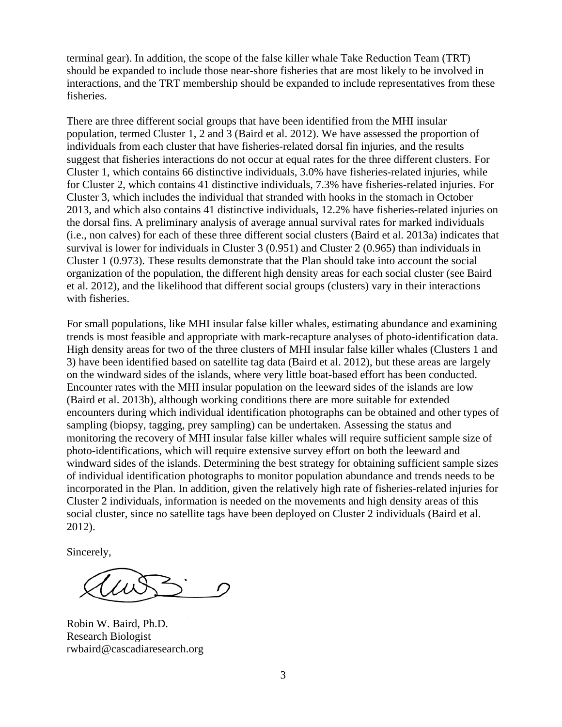terminal gear). In addition, the scope of the false killer whale Take Reduction Team (TRT) should be expanded to include those near-shore fisheries that are most likely to be involved in interactions, and the TRT membership should be expanded to include representatives from these fisheries.

There are three different social groups that have been identified from the MHI insular population, termed Cluster 1, 2 and 3 (Baird et al. 2012). We have assessed the proportion of individuals from each cluster that have fisheries-related dorsal fin injuries, and the results suggest that fisheries interactions do not occur at equal rates for the three different clusters. For Cluster 1, which contains 66 distinctive individuals, 3.0% have fisheries-related injuries, while for Cluster 2, which contains 41 distinctive individuals, 7.3% have fisheries-related injuries. For Cluster 3, which includes the individual that stranded with hooks in the stomach in October 2013, and which also contains 41 distinctive individuals, 12.2% have fisheries-related injuries on the dorsal fins. A preliminary analysis of average annual survival rates for marked individuals (i.e., non calves) for each of these three different social clusters (Baird et al. 2013a) indicates that survival is lower for individuals in Cluster 3 (0.951) and Cluster 2 (0.965) than individuals in Cluster 1 (0.973). These results demonstrate that the Plan should take into account the social organization of the population, the different high density areas for each social cluster (see Baird et al. 2012), and the likelihood that different social groups (clusters) vary in their interactions with fisheries.

For small populations, like MHI insular false killer whales, estimating abundance and examining trends is most feasible and appropriate with mark-recapture analyses of photo-identification data. High density areas for two of the three clusters of MHI insular false killer whales (Clusters 1 and 3) have been identified based on satellite tag data (Baird et al. 2012), but these areas are largely on the windward sides of the islands, where very little boat-based effort has been conducted. Encounter rates with the MHI insular population on the leeward sides of the islands are low (Baird et al. 2013b), although working conditions there are more suitable for extended encounters during which individual identification photographs can be obtained and other types of sampling (biopsy, tagging, prey sampling) can be undertaken. Assessing the status and monitoring the recovery of MHI insular false killer whales will require sufficient sample size of photo-identifications, which will require extensive survey effort on both the leeward and windward sides of the islands. Determining the best strategy for obtaining sufficient sample sizes of individual identification photographs to monitor population abundance and trends needs to be incorporated in the Plan. In addition, given the relatively high rate of fisheries-related injuries for Cluster 2 individuals, information is needed on the movements and high density areas of this social cluster, since no satellite tags have been deployed on Cluster 2 individuals (Baird et al. 2012).

Sincerely,

Robin W. Baird, Ph.D. Research Biologist rwbaird@cascadiaresearch.org